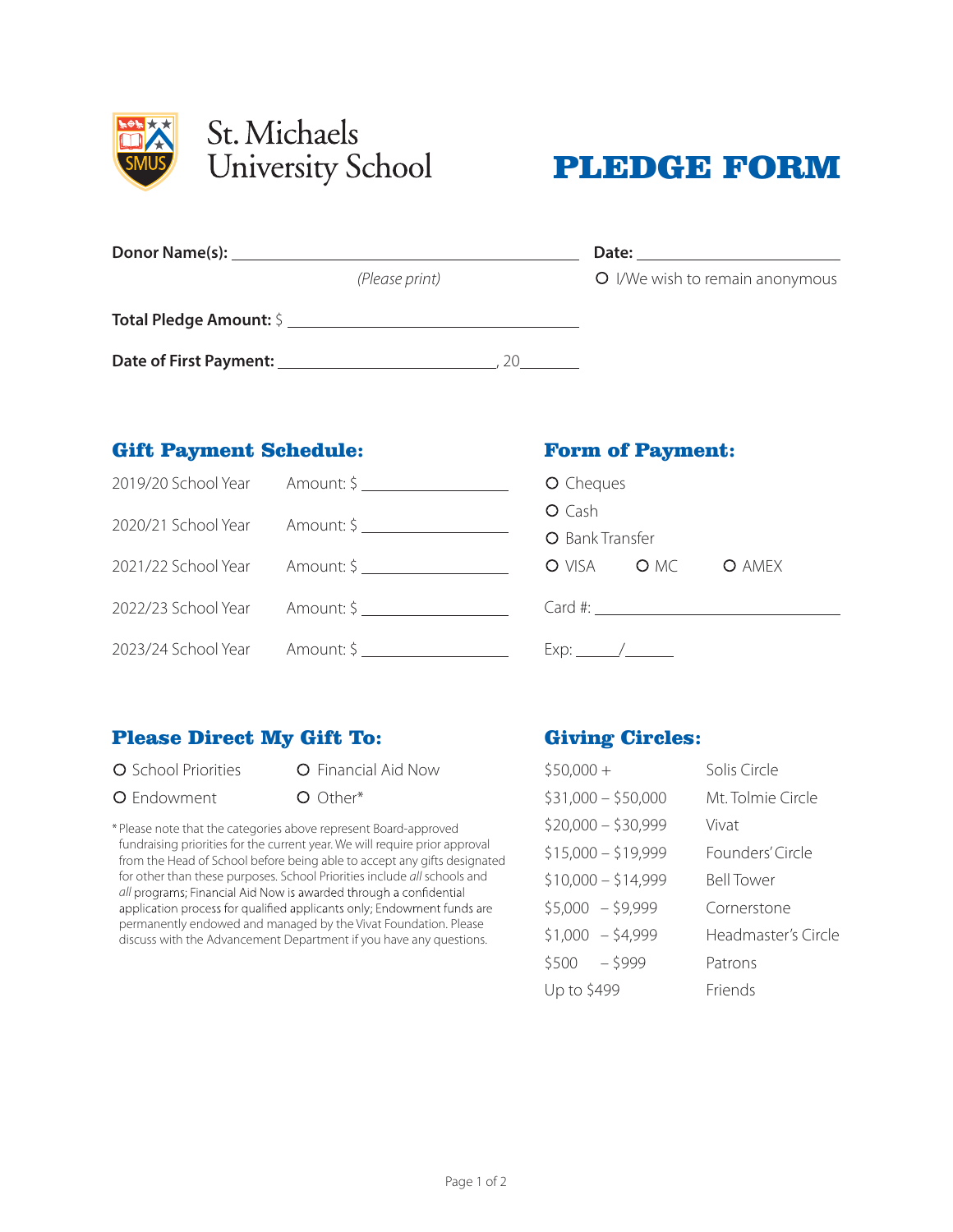



| Donor Name(s): Name (s) and the set of the set of the set of the set of the set of the set of the set of the set of the set of the set of the set of the set of the set of the set of the set of the set of the set of the set |                | Date:                           |
|--------------------------------------------------------------------------------------------------------------------------------------------------------------------------------------------------------------------------------|----------------|---------------------------------|
|                                                                                                                                                                                                                                | (Please print) | O I/We wish to remain anonymous |
| <b>Total Pledge Amount:</b> \$                                                                                                                                                                                                 |                |                                 |
| Date of First Payment: ________________                                                                                                                                                                                        |                |                                 |

## Gift Payment Schedule:

| 2019/20 School Year Amount: \$                    | O Cheques          |  |  |
|---------------------------------------------------|--------------------|--|--|
| 2020/21 School Year Amount: \$ __________________ | O Cash             |  |  |
|                                                   | O Bank Transfer    |  |  |
| 2021/22 School Year Amount: \$                    | O VISA O MC O AMEX |  |  |
| 2022/23 School Year Amount: \$                    |                    |  |  |
| 2023/24 School Year Amount: \$                    |                    |  |  |

# Please Direct My Gift To:

O School Priorities **O** Financial Aid Now

O Endowment O Other\*

\* Please note that the categories above represent Board-approved fundraising priorities for the current year. We will require prior approval from the Head of School before being able to accept any gifts designated for other than these purposes. School Priorities include *all* schools and *all* programs; Financial Aid Now is awarded through a confidential application process for qualified applicants only; Endowment funds are permanently endowed and managed by the Vivat Foundation. Please discuss with the Advancement Department if you have any questions.

# Giving Circles:

Form of Payment:

| $$50,000+$          | Solis Circle        |
|---------------------|---------------------|
| $$31,000 - $50,000$ | Mt. Tolmie Circle   |
| $$20,000 - $30,999$ | Vivat               |
| $$15,000 - $19,999$ | Founders' Circle    |
| $$10,000 - $14,999$ | <b>Bell Tower</b>   |
| $$5,000 - $9,999$   | Cornerstone         |
| $$1,000 - $4,999$   | Headmaster's Circle |
| $$500 - $999$       | Patrons             |
| Up to \$499         | Friends             |